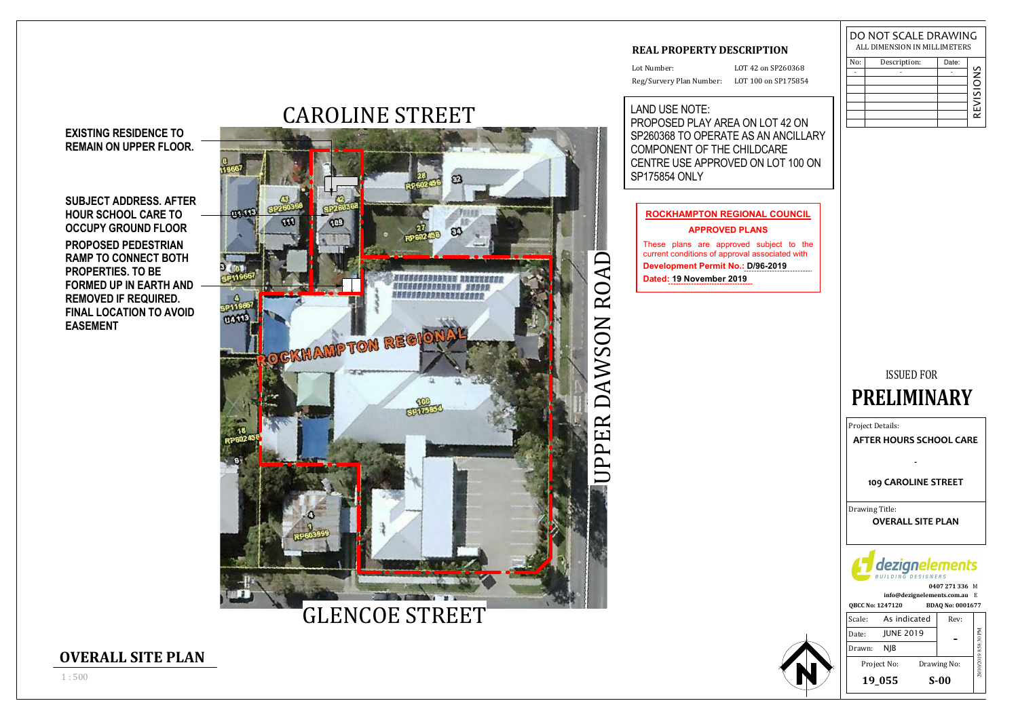

# CAROLINE STREET

**SUBJECT ADDRESS. AFTERHOUR SCHOOL CARE TO OCCUPY GROUND FLOOR PROPOSED PEDESTRIAN RAMP TO CONNECT BOTHPROPERTIES. TO BE FORMED UP IN EARTH ANDREMOVED IF REQUIRED.FINAL LOCATION TO AVOIDEASEMENT**

Lot Number:Reg/Survery Plan Number: LOT 100 on SP175854

### **EXISTING RESIDENCE TOREMAIN ON UPPER FLOOR.**

### **REAL PROPERTY DESCRIPTION**

LOT 42 on SP260368

## ISSUED FOR

**QBCC No: 1247120 BDAQ No: 0001677 0407 271 336**M**info@dezignelements.com.au** E

Project Details:

| Scale: | As indicated     | Rev:        |                       |
|--------|------------------|-------------|-----------------------|
| Date:  | <b>JUNE 2019</b> |             |                       |
| Drawn: | NIB              |             |                       |
|        | Project No:      | Drawing No: | 29/10/2019 8:58:30 PM |
|        | 19_055           | $S-00$      |                       |



## **PRELIMINARY**

| No: | Description: | Date: |               |
|-----|--------------|-------|---------------|
|     |              |       | $\frac{5}{5}$ |
|     |              |       |               |
|     |              |       | REVISIC       |
|     |              |       |               |
|     |              |       |               |
|     |              |       |               |
|     |              |       |               |

### DO NOT SCALE DRAWINGALL DIMENSION IN MILLIMETERS

Drawing Title:**OVERALL SITE PLAN**



### **109 CAROLINE STREET**

**AFTER HOURS SCHOOL CARE**

**OVERALL SITE PLAN**

### LAND USE NOTE:

 PROPOSED PLAY AREA ON LOT 42 ON SP260368 TO OPERATE AS AN ANCILLARYCOMPONENT OF THE CHILDCARE CENTRE USE APPROVED ON LOT 100 ONSP175854 ONLY

### **ROCKHAMPTON REGIONAL COUNCIL**

**APPROVED PLANS**

These plans are approved subject to the current conditions of approval associated with **Development Permit No . : D /96 -20 1 9 Date d: 1 9 November 2019**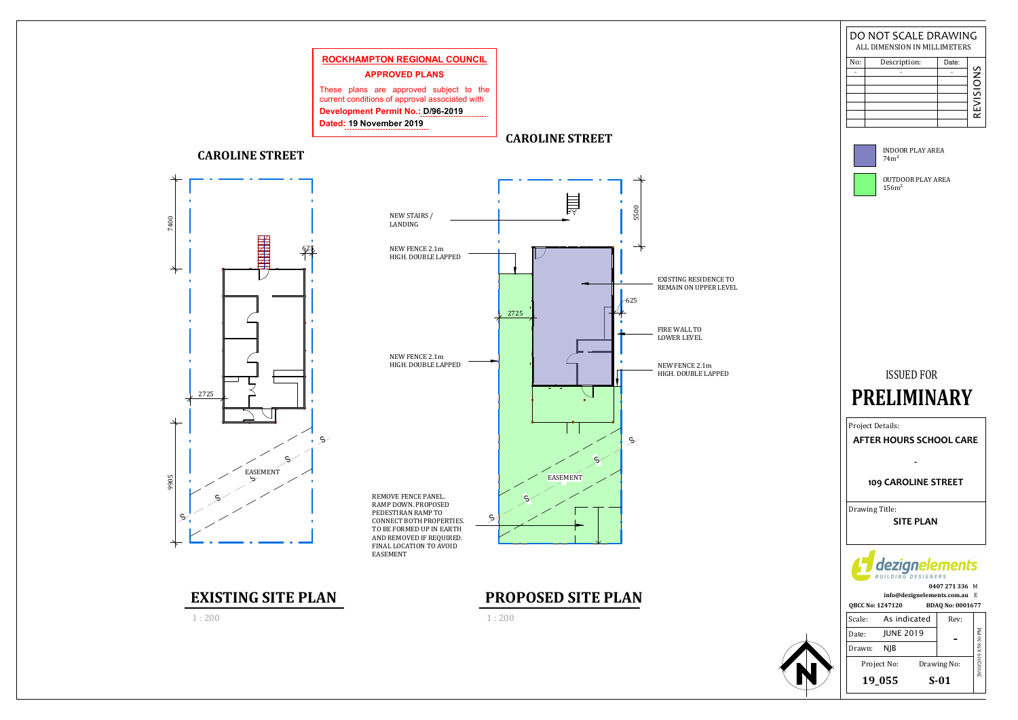

### **CAROLINE STREET**



**EXISTING SITE PLAN**<br>1:200 **PROPOSED SITE PLAN** 







1 : 200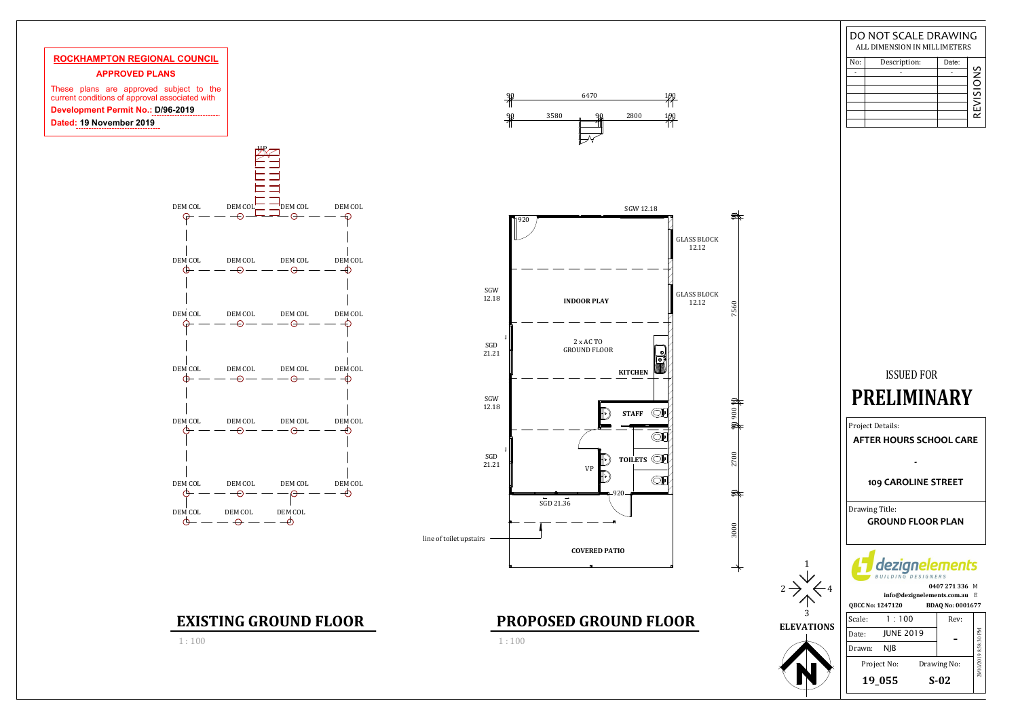

## ISSUED FOR

**QBCC No: 1247120 BDAQ No: 0001677 0407 271 336**M**info@dezignelements.com.au** E

Project Details:



| Scale: | 1:100            | Rev:        |                       |
|--------|------------------|-------------|-----------------------|
| Date:  | <b>JUNE 2019</b> |             |                       |
| Drawn: | NIB              |             |                       |
|        | Project No:      | Drawing No: | 29/10/2019 8:58:30 PM |
|        | 19_055           | $S-02$      |                       |
|        |                  |             |                       |

# **EXISTING GROUND FLOOR**<br>1:100 **PROPOSED GROUND FLOOR**

## **PRELIMINARY**

| No: | Description: | Date: |                          |
|-----|--------------|-------|--------------------------|
|     |              |       | SNi                      |
|     |              |       | $\overline{\phantom{a}}$ |
|     |              |       |                          |
|     |              |       |                          |
|     |              |       | <b>REVISI</b>            |
|     |              |       |                          |
|     |              |       |                          |

### DO NOT SCALE DRAWINGALL DIMENSION IN MILLIMETERS

Drawing Title:**GROUND FLOOR PLAN**



### **109 CAROLINE STREET**

**AFTER HOURS SCHOOL CARE**

**-**

1 : 100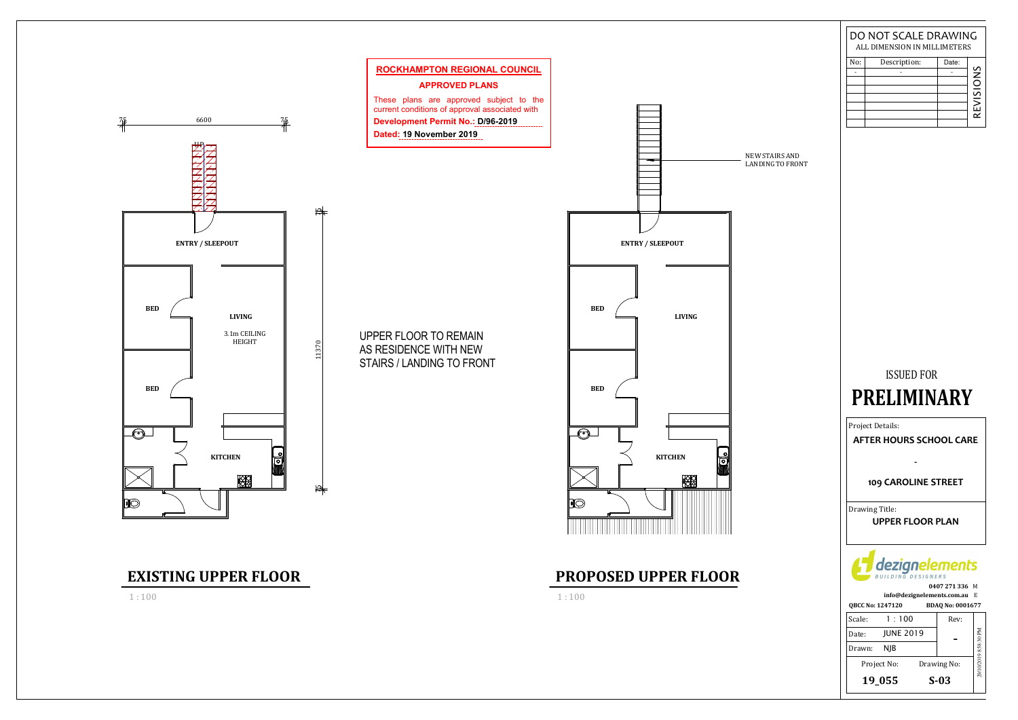NEW STAIRS AND LANDING TO FRONT

### ISSUED FOR

# **PRELIMINARY**

**QBCC No: 1247120 BDAQ No: 0001677 0407 271 336**M**info@dezignelements.com.au** E



Project Details:

|        | 19_055           | $S-03$      |                       |
|--------|------------------|-------------|-----------------------|
|        | Project No:      | Drawing No: | 29/10/2019 8:58:30 PM |
| Drawn: | NIB              |             |                       |
| Date:  | <b>JUNE 2019</b> |             |                       |
| Scale: | 1:100            | Rev:        |                       |

| No: | Description: | Date: |                     |
|-----|--------------|-------|---------------------|
|     |              |       | $\frac{5}{5}$       |
|     |              |       | L.                  |
|     |              |       | ∽<br>$\overline{2}$ |
|     |              |       |                     |
|     |              |       | <b>REVI</b>         |
|     |              |       |                     |
|     |              |       |                     |

### DO NOT SCALE DRAWINGALL DIMENSION IN MILLIMETERS

Drawing Title:**UPPER FLOOR PLAN**



### **109 CAROLINE STREET**

**AFTER HOURS SCHOOL CARE**

**-**

1 : 100

# **EXISTING UPPER FLOOR**<br>1:100 **PROPOSED UPPER FLOOR**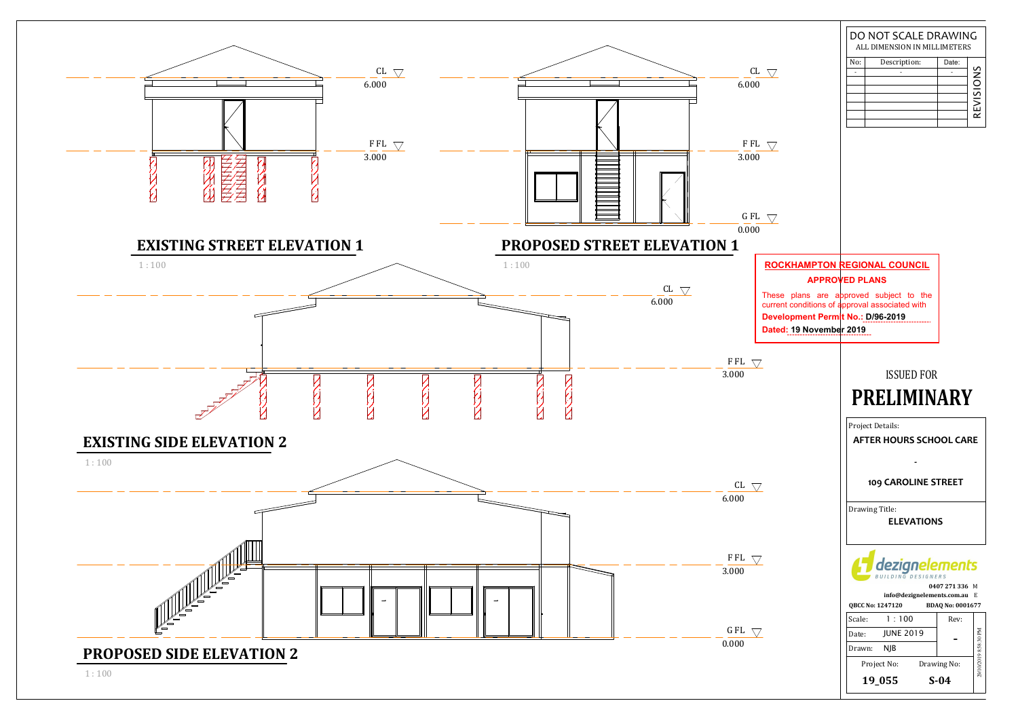

|                                          | DO NOT SCALE DRAWING<br>ALL DIMENSION IN MILLIMETERS                                      |                       |
|------------------------------------------|-------------------------------------------------------------------------------------------|-----------------------|
| L                                        | No:<br>Description:<br>Date:                                                              |                       |
| 0                                        |                                                                                           |                       |
|                                          |                                                                                           | REVISIONS             |
|                                          |                                                                                           |                       |
|                                          |                                                                                           |                       |
| L                                        |                                                                                           |                       |
| 0                                        |                                                                                           |                       |
|                                          |                                                                                           |                       |
|                                          |                                                                                           |                       |
|                                          |                                                                                           |                       |
| L                                        |                                                                                           |                       |
| 0                                        |                                                                                           |                       |
|                                          |                                                                                           |                       |
|                                          | <b>ROCKHAMPTON REGIONAL COUNCIL</b>                                                       |                       |
|                                          | <b>APPROVED PLANS</b>                                                                     |                       |
|                                          | These plans are approved subject to the<br>current conditions of approval associated with |                       |
| <b>Development Permit No.: D/96-2019</b> |                                                                                           |                       |
| Dated: 19 November 2019                  |                                                                                           |                       |
|                                          |                                                                                           |                       |
|                                          |                                                                                           |                       |
|                                          | <b>ISSUED FOR</b>                                                                         |                       |
|                                          | RELIMINARY                                                                                |                       |
|                                          | Project Details:                                                                          |                       |
|                                          | <b>AFTER HOURS SCHOOL CARE</b>                                                            |                       |
|                                          |                                                                                           |                       |
|                                          |                                                                                           |                       |
|                                          | 109 CAROLINE STREET                                                                       |                       |
|                                          | Drawing Title:                                                                            |                       |
|                                          | <b>ELEVATIONS</b>                                                                         |                       |
|                                          |                                                                                           |                       |
|                                          |                                                                                           |                       |
|                                          | eziar<br>nents                                                                            |                       |
|                                          | BUILDING DESIGNERS                                                                        |                       |
|                                          | 0407 271 336 M<br>info@dezignelements.com.au E                                            |                       |
|                                          | QBCC No: 1247120<br>BDAQ No: 0001677                                                      |                       |
|                                          | Scale:<br>1:100<br>Rev:                                                                   |                       |
|                                          | <b>JUNE 2019</b><br>Date:                                                                 |                       |
|                                          | Drawn:<br><b>NJB</b>                                                                      |                       |
|                                          | Project No:<br>Drawing No:                                                                | 29/10/2019 8:58:30 PM |
|                                          | 19_055<br>$S-04$                                                                          |                       |